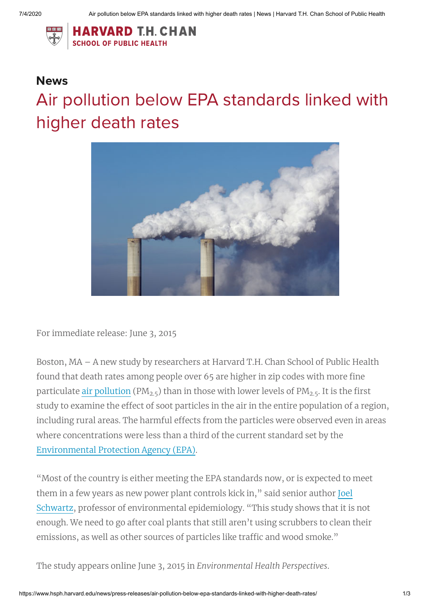

## **News** Air pollution below EPA standards linked with higher death rates



For immediate release: June 3, 2015

Boston, MA – A new study by researchers at Harvard T.H. Chan School of Public Health found that death rates among people over 65 are higher in zip codes with more fine particulate <u>[air pollution](https://www.hsph.harvard.edu/news/topic/air-pollution/)</u> (PM<sub>2.5</sub>) than in those with lower levels of PM<sub>2.5</sub>. It is the first study to examine the effect of soot particles in the air in the entire population of a region, including rural areas. The harmful effects from the particles were observed even in areas where concentrations were less than a third of the current standard set by the [Environmental](http://www.epa.gov/) Protection Agency (EPA).

"Most of the country is either meeting the EPA standards now, or is expected to meet them in a few years as new power plant controls kick in," said [senior author Joel](https://www.hsph.harvard.edu/joel-schwartz/) Schwartz, professor of environmental epidemiology. "This study shows that it is not enough. We need to go after coal plants that still aren't using scrubbers to clean their emissions, as well as other sources of particles like traffic and wood smoke."

The study appears online June 3, 2015 in *Environmental Health Perspectives*.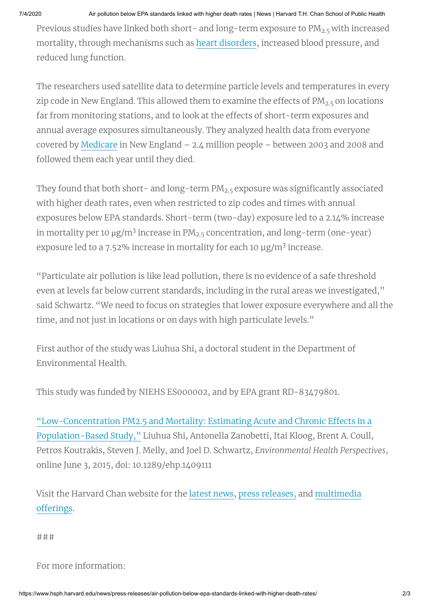7/4/2020 Air pollution below EPA standards linked with higher death rates | News | Harvard T.H. Chan School of Public Health

Previous studies have linked both short- and long-term exposure to PM<sub>2.5</sub> with increased mortality, through mechanisms such as heart [disorders](https://www.hsph.harvard.edu/news/topic/heart-disease/), increased blood pressure, and reduced lung function.

The researchers used satellite data to determine particle levels and temperatures in every zip code in New England. This allowed them to examine the effects of PM $_{\rm 2.5}$  on locations far from monitoring stations, and to look at the effects of short-term exposures and annual average exposures simultaneously. They analyzed health data from everyone covered by [Medicare](http://medicare.gov/) in New England *–* 2.4 million people *–* between 2003 and 2008 and followed them each year until they died.

They found that both short- and long-term PM $_{2.5}$  exposure was significantly associated with higher death rates, even when restricted to zip codes and times with annual exposures below EPA standards. Short-term (two-day) exposure led to a 2.14% increase in mortality per 10  $\mu$ g/m<sup>3</sup> increase in PM<sub>2.5</sub> concentration, and long-term (one-year) exposure led to a 7.52% increase in mortality for each 10  $\mu$ g/m<sup>3</sup> increase.

"Particulate air pollution is like lead pollution, there is no evidence of a safe threshold even at levels far below current standards, including in the rural areas we investigated," said Schwartz. "We need to focus on strategies that lower exposure everywhere and all the time, and not just in locations or on days with high particulate levels."

First author of the study was Liuhua Shi, a doctoral student in the Department of Environmental Health.

This study was funded by NIEHS ES000002, and by EPA grant RD-83479801.

["Low-Concentration](http://ehp.niehs.nih.gov/1409111/) PM2.5 and Mortality: Estimating Acute and Chronic Effects in a Population-Based Study," Liuhua Shi, Antonella Zanobetti, Itai Kloog, Brent A. Coull, Petros Koutrakis, Steven J. Melly, and Joel D. Schwartz, *Environmental Health Perspectives*, online June 3, 2015, doi: 10.1289/ehp.1409111

Visit the Harvard Chan website for the [latest](https://www.hsph.harvard.edu/news/) news, press [releases,](https://www.hsph.harvard.edu/news/press-releases/) and [multimedia](https://www.hsph.harvard.edu/multimedia/) offerings.

###

## For more information: